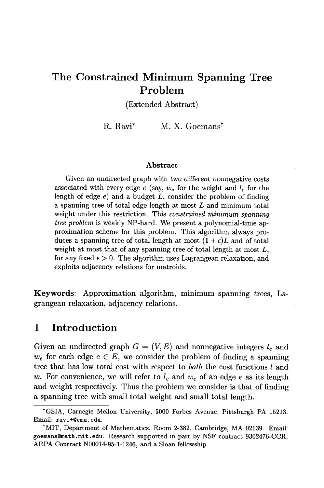# **The Constrained Minimum Spanning Tree Problem**

(Extended Abstract)

R. Ravi<sup>\*</sup> M. X. Goemans<sup>†</sup>

#### **Abstract**

Given an undirected graph with two different *nonnegative* costs associated with every edge e (say,  $w_e$  for the weight and  $l_e$  for the length of edge  $e$ ) and a budget  $L$ , consider the problem of finding a spanning tree of total edge length at most L and minimum total weight under this restriction. This *constrained minimum spanning tree problem* is weakly NP-hard. We present a polynomial-time approximation scheme for this problem. This algorithm always produces a spanning tree of total length at most  $(1 + \epsilon)L$  and of total weight at most that of any spanning tree of total length at most  $L$ , for any fixed  $\epsilon > 0$ . The algorithm uses Lagrangean relaxation, and exploits adjacency relations for matroids.

Keywords: Approximation algorithm, minimum spanning trees, Lagrangean relaxation, adjacency relations.

### **1 Introduction**

Given an undirected graph  $G = (V, E)$  and nonnegative integers  $l_e$  and  $w_e$  for each edge  $e \in E$ , we consider the problem of finding a spanning tree that has low total cost with respect to *both* the cost functions l and w. For convenience, we will refer to  $l_e$  and  $w_e$  of an edge e as its length and weight respectively. Thus the problem we consider is that of finding a spanning tree with small total weight and small total length.

<sup>\*</sup>GSIA, Carnegie Mellon University, 5000 Forbes Avenue, Pittsburgh PA 15213. Email: ravi+@cmu.edu.

tMIT, Department of Mathematics, Room 2-382, Cambridge, MA 02139. Email: goemans@math.mit.edu. Research supported in part by NSF contract 9302476-CCR, ARPA Contract N00014-95-1-1246, and a Sloan fellowship.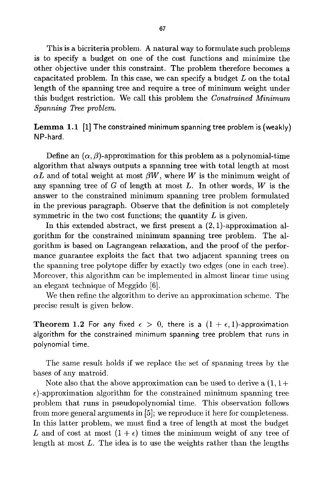This is a bicriteria problem. A natural way to formulate such problems is to specify a budget on one of the cost functions and minimize the other objective under this constraint. The problem therefore becomes a capacitated problem. In this case, we can specify a budget  $L$  on the total length of the spanning tree and require a tree of minimum weight under this budget restriction. We call this problem the *Constrained Minimum Spanning Tree problem.* 

**Lemma 1.1** [1] The constrained minimum spanning tree problem is (weakly) NP-hard.

Define an  $(\alpha, \beta)$ -approximation for this problem as a polynomial-time algorithm that always outputs a spanning tree with total length at most  $\alpha L$  and of total weight at most  $\beta W$ , where W is the minimum weight of any spanning tree of  $G$  of length at most  $L$ . In other words,  $W$  is the answer to the constrained minimum spanning tree problem formulated in the previous paragraph. Observe that the definition is not completely symmetric in the two cost functions; the quantity  $L$  is given.

In this extended abstract, we first present a  $(2, 1)$ -approximation algorithm for the constrained minimum spanning tree problem. The algorithm is based on Lagrangean relaxation, and the proof of the performance guarantee exploits the fact that two adjacent spanning trees on the spanning tree polytope differ by exactly two edges (one in each tree). Moreover, this algorithm can be implemented in almost linear time using an elegant technique of Meggido [6].

We then refine the algorithm to derive an approximation scheme. The precise result is given below.

**Theorem 1.2** For any fixed  $\epsilon > 0$ , there is a  $(1 + \epsilon, 1)$ -approximation algorithm for the constrained minimum spanning tree problem that runs in polynomial time.

The same result holds if we replace the set of spanning trees by the bases of any matroid.

Note also that the above approximation can be used to derive a  $(1, 1+)$  $\epsilon$ )-approximation algorithm for the constrained minimum spanning tree problem that runs in pseudopolynomial time. This observation follows from more general arguments in [5]; we reproduce it here for completeness. In this latter problem, we must find a tree of length at most the budget L and of cost at most  $(1 + \epsilon)$  times the minimum weight of any tree of length at most L. The idea is to use the weights rather than the lengths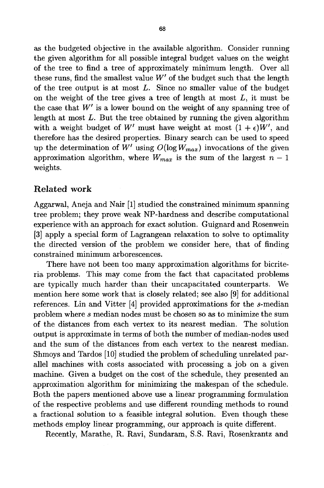as the budgeted objective in the available algorithm. Consider running the given algorithm for all possible integral budget values on the weight of the tree to find a tree of approximately minimum length. Over all these runs, find the smallest value  $W'$  of the budget such that the length of the tree output is at most  $L$ . Since no smaller value of the budget on the weight of the tree gives a tree of length at most  $L$ , it must be the case that  $W'$  is a lower bound on the weight of any spanning tree of length at most  $L$ . But the tree obtained by running the given algorithm with a weight budget of W' must have weight at most  $(1 + \epsilon)W'$ , and therefore has the desired properties. Binary search can be used to speed up the determination of W' using  $O(\log W_{max})$  invocations of the given approximation algorithm, where  $W_{max}$  is the sum of the largest  $n-1$ weights.

### Related work

Aggarwal, Aneja and Nair [1] studied the constrained minimum spanning tree problem; they prove weak NP-hardness and describe computational experience with an approach for exact solution. Guignard and Rosenwein [3] apply a special form of Lagrangean relaxation to solve to optimality the directed version of the problem we consider here, that of finding constrained minimum arborescences.

There have not been too many approximation algorithms for bicriteria problems. This may come from the fact that capacitated problems are typically much harder than their uncapacitated counterparts. We mention here some work that is closely related; see also [9] for additional references. Lin and Vitter [4] provided approximations for the s-median problem where s median nodes must be chosen so as to minimize the sum of the distances from each vertex to its nearest median. The solution output is approximate in terms of both the number of median-nodes used and the sum of the distances from each vertex to the nearest median. Shmoys and Tardos [10] studied the problem of scheduling unrelated parallel machines with costs associated with processing a job on a given machine. Given a budget on the cost of the schedule, they presented an approximation algorithm for minimizing the makespan of the schedule. Both the papers mentioned above use a linear programming formulation of the respective problems and use different rounding methods to round a fractional solution to a feasible integral solution. Even though these methods employ linear programming, our approach is quite different.

Recently, Marathe, R. Ravi, Sundaram, S.S. Ravi, Rosenkrantz and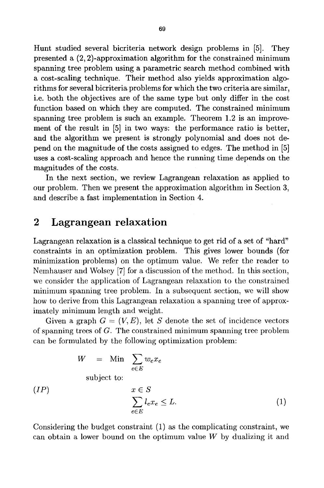Hunt studied several bicriteria network design problems in [5]. They presented a (2, 2)-approximation algorithm for the constrained minimum spanning tree problem using a parametric search method combined with a cost-scaling technique. Their method also yields approximation algorithms for several bicriteria problems for which the two criteria are similar, i.e. both the objectives are of the same type but only differ in the cost function based on which they are computed. The constrained minimum spanning tree problem is such an example. Theorem 1.2 is an improvement of the result in [5] in two ways: the performance ratio is better, and the algorithm we present is strongly polynomial and does not depend on the magnitude of the costs assigned to edges. The method in [5] uses a cost-scaling approach and hence the running time depends on the magnitudes of the costs.

In the next section, we review Lagrangean relaxation as applied to our problem. Then we present the approximation algorithm in Section 3, and describe a fast implementation in Section 4.

## **2 Lagrangean relaxation**

 $(IP)$ 

Lagrangean relaxation is a classical technique to get rid of a set of "hard" constraints in an optimization problem. This gives lower bounds (for minimization problems) on the optimum value. We refer the reader to Nemhauser and Wolsey [7] for a discussion of the method. In this section, we consider the application of Lagrangean relaxation to the constrained minimum spanning tree problem. In a subsequent section, we will show how to derive from this Lagrangean relaxation a spanning tree of approximately minimum length and weight.

Given a graph  $G = (V, E)$ , let S denote the set of incidence vectors of spanning trees of G. The constrained minimum spanning tree problem can be formulated by the following optimization problem:

$$
W = \text{Min} \sum_{e \in E} w_e x_e
$$
  
subject to:  

$$
x \in S
$$

$$
\sum_{e \in E} l_e x_e \le L.
$$

$$
(1)
$$

Considering the budget constraint (1) as the complicating constraint, we can obtain a lower bound on the optimum value  $W$  by dualizing it and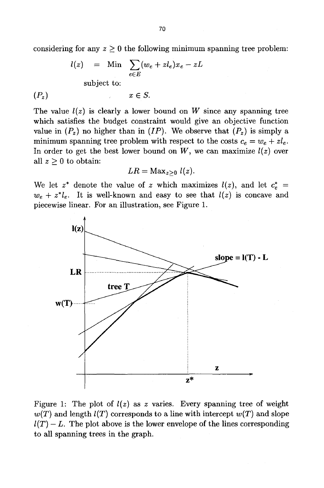considering for any  $z \geq 0$  the following minimum spanning tree problem:

$$
l(z) = \text{Min} \sum_{e \in E} (w_e + z l_e) x_e - zL
$$
  
subject to:

 $(P_z)$   $x \in S$ .

The value  $l(z)$  is clearly a lower bound on W since any spanning tree which satisfies the budget constraint would give an objective function value in  $(P_z)$  no higher than in *(IP)*. We observe that  $(P_z)$  is simply a minimum spanning tree problem with respect to the costs  $c_e = w_e + z l_e$ . In order to get the best lower bound on  $W$ , we can maximize  $l(z)$  over all  $z \geq 0$  to obtain:

$$
LR = \text{Max}_{z \geq 0} l(z).
$$

We let  $z^*$  denote the value of z which maximizes  $l(z)$ , and let  $c_e^*$  =  $w_e + z^* l_e$ . It is well-known and easy to see that  $l(z)$  is concave and piecewise linear. For an illustration, see Figure 1.



Figure 1: The plot of  $l(z)$  as z varies. Every spanning tree of weight  $w(T)$  and length  $l(T)$  corresponds to a line with intercept  $w(T)$  and slope  $l(T) - L$ . The plot above is the lower envelope of the lines corresponding to all spanning trees in the graph.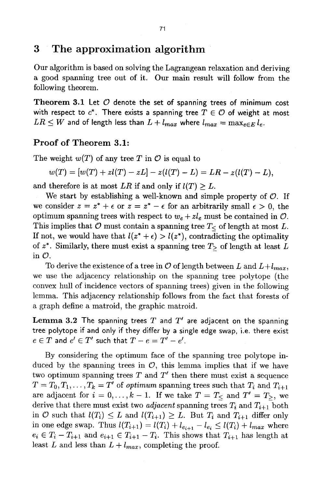### **3 The approximation algorithm**

Our algorithm is based on solving the Lagrangean relaxation and deriving a good spanning tree out of it. Our main result will follow from the following theorem.

**Theorem 3.1 Let O denote the set of spanning trees of minimum cost**  with respect to  $c^*$ . There exists a spanning tree  $T \in \mathcal{O}$  of weight at most  $LR \leq W$  and of length less than  $L + l_{max}$  where  $l_{max} = \max_{e \in E} l_e$ .

### **Proof of Theorem** 3.1:

The weight  $w(T)$  of any tree T in  $\mathcal O$  is equal to

$$
w(T) = [w(T) + zl(T) - zL] - z(l(T) - L) = LR - z(l(T) - L),
$$

and therefore is at most *LR* if and only if  $l(T) \geq L$ .

We start by establishing a well-known and simple property of  $\mathcal{O}$ . If we consider  $z = z^* + \epsilon$  or  $z = z^* - \epsilon$  for an arbitrarily small  $\epsilon > 0$ , the optimum spanning trees with respect to  $w_e + z l_e$  must be contained in  $\mathcal{O}$ . This implies that  $\mathcal O$  must contain a spanning tree  $T<\infty$  of length at most L. If not, we would have that  $l(z^* + \epsilon) > l(z^*)$ , contradicting the optimality of  $z^*$ . Similarly, there must exist a spanning tree  $T$ > of length at least L in  $\mathcal{O}$ .

To derive the existence of a tree in  $\mathcal O$  of length between  $L$  and  $L+l_{max}$ , we use the adjacency relationship on the spanning tree polytope (the convex hull of incidence vectors of spanning trees) given in the following lemma. This adjacency relationship follows from the fact that forests of a graph define a matroid, the graphic matroid.

**Lemma 3.2** The spanning trees T and  $T'$  are adjacent on the spanning tree polytope if and only if they differ by a single edge swap, i.e. there exist  $e \in T$  and  $e' \in T'$  such that  $T-e=T'-e'$ .

By considering the optimum face of the spanning tree polytope induced by the spanning trees in  $\mathcal{O}$ , this lemma implies that if we have two optimum spanning trees  $T$  and  $T'$  then there must exist a sequence  $T = T_0, T_1, \ldots, T_k = T'$  of *optimum* spanning trees such that  $T_i$  and  $T_{i+1}$ are adjacent for  $i = 0, \ldots, k-1$ . If we take  $T = T_<$  and  $T' = T_>,$  we derive that there must exist two *adjacent* spanning trees  $T_i$  and  $T_{i+1}$  both in  $\mathcal O$  such that  $l(T_i) \leq L$  and  $l(T_{i+1}) \geq L$ . But  $T_i$  and  $T_{i+1}$  differ only in one edge swap. Thus  $l(T_{i+1}) = l(T_i) + l_{e_{i+1}} - l_{e_i} \leq l(T_i) + l_{max}$  where  $e_i \in T_i - T_{i+1}$  and  $e_{i+1} \in T_{i+1} - T_i$ . This shows that  $T_{i+1}$  has length at least L and less than  $L + l_{max}$ , completing the proof.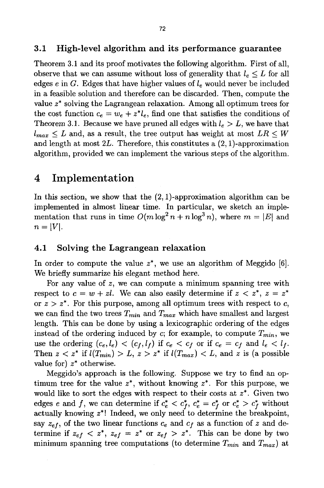#### 3.1 High-level algorithm and its performance guarantee

Theorem 3.1 and its proof motivates the following algorithm. First of all, observe that we can assume without loss of generality that  $l_e \leq L$  for all edges e in G. Edges that have higher values of  $l_e$  would never be included in a feasible solution and therefore can be discarded. Then, compute the value  $z^*$  solving the Lagrangean relaxation. Among all optimum trees for the cost function  $c_e = w_e + z^* l_e$ , find one that satisfies the conditions of Theorem 3.1. Because we have pruned all edges with  $l_e > L$ , we have that  $l_{max} \leq L$  and, as a result, the tree output has weight at most  $LR \leq W$ and length at most  $2L$ . Therefore, this constitutes a  $(2, 1)$ -approximation algorithm, provided we can implement the various steps of the algorithm.

### **4 Implementation**

In this section, we show that the  $(2, 1)$ -approximation algorithm can be implemented in almost linear time. In particular, we sketch an implementation that runs in time  $O(m \log^2 n + n \log^3 n)$ , where  $m = |E|$  and  $n = |V|$ .

#### 4.1 Solving the Lagrangean relaxation

In order to compute the value  $z^*$ , we use an algorithm of Meggido [6]. We briefly summarize his elegant method here.

For any value of z, we can compute a minimum spanning tree with respect to  $c = w + zl$ . We can also easily determine if  $z < z^*$ ,  $z = z^*$ or  $z > z^*$ . For this purpose, among all optimum trees with respect to c, we can find the two trees  $T_{min}$  and  $T_{max}$  which have smallest and largest length. This can be done by using a lexicographic ordering of the edges instead of the ordering induced by  $c$ ; for example, to compute  $T_{min}$ , we use the ordering  $(c_e, l_e) < (c_f, l_f)$  if  $c_e < c_f$  or if  $c_e = c_f$  and  $l_e < l_f$ . Then  $z < z^*$  if  $l(T_{min}) > L$ ,  $z > z^*$  if  $l(T_{max}) < L$ , and z is (a possible value for)  $z^*$  otherwise.

Meggido's approach is the following. Suppose we try to find an optimum tree for the value  $z^*$ , without knowing  $z^*$ . For this purpose, we would like to sort the edges with respect to their costs at  $z^*$ . Given two edges e and f, we can determine if  $c_e^* < c_f^*$ ,  $c_e^* = c_f^*$  or  $c_e^* > c_f^*$  without actually knowing z\*! Indeed, we only need to determine the breakpoint, say  $z_{ef}$ , of the two linear functions  $c_e$  and  $c_f$  as a function of z and determine if  $z_{ef} < z^*$ ,  $z_{ef} = z^*$  or  $z_{ef} > z^*$ . This can be done by two minimum spanning tree computations (to determine  $T_{min}$  and  $T_{max}$ ) at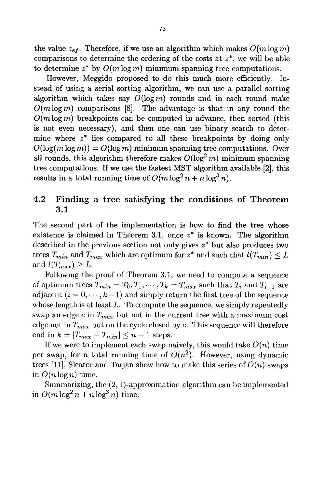the value  $z_{ef}$ . Therefore, if we use an algorithm which makes  $O(m \log m)$ comparisons to determine the ordering of the costs at  $z^*$ , we will be able to determine  $z^*$  by  $O(m \log m)$  minimum spanning tree computations.

However, Meggido proposed to do this much more efficiently. Instead of using a serial sorting algorithm, we can use a parallel sorting algorithm which takes say  $O(\log m)$  rounds and in each round make  $O(m \log m)$  comparisons [8]. The advantage is that in any round the  $O(m \log m)$  breakpoints can be computed in advance, then sorted (this is not even necessary), and then one can use binary search to determine where  $z^*$  lies compared to all these breakpoints by doing only  $O(\log(m \log m)) = O(\log m)$  minimum spanning tree computations. Over all rounds, this algorithm therefore makes  $O(\log^2 m)$  minimum spanning tree computations. If we use the fastest MST algorithm available [2], this results in a total running time of  $O(m \log^2 n + n \log^3 n)$ .

### **4.2 Finding a tree satisfying the conditions of Theorem 3.1**

The second part of the implementation is how to find the tree whose existence is claimed in Theorem 3.1, once  $z^*$  is known. The algorithm described in the previous section not only gives  $z^*$  but also produces two trees  $T_{min}$  and  $T_{max}$  which are optimum for  $z^*$  and such that  $l(T_{min}) \leq L$ and  $l(T_{max}) \geq L$ .

Following the proof of Theorem 3.1, we need to compute a sequence of optimum trees  $T_{min} = T_0, T_1, \cdots, T_k = T_{max}$  such that  $T_i$  and  $T_{i+1}$  are adjacent  $(i = 0, \dots, k-1)$  and simply return the first tree of the sequence whose length is at least  $L$ . To compute the sequence, we simply repeatedly swap an edge  $e$  in  $T_{max}$  but not in the current tree with a maximum cost edge not in  $T_{max}$  but on the cycle closed by  $e$ . This sequence will therefore end in  $k = |T_{max} - T_{min}| \leq n - 1$  steps.

If we were to implement each swap naively, this would take  $O(n)$  time per swap, for a total running time of  $O(n^2)$ . However, using dynamic trees [11], Sleator and Tarjan show how to make this series of  $O(n)$  swaps in  $O(n \log n)$  time.

Summarizing, the (2, 1)-approximation algorithm can be implemented in  $O(m \log^2 n + n \log^3 n)$  time.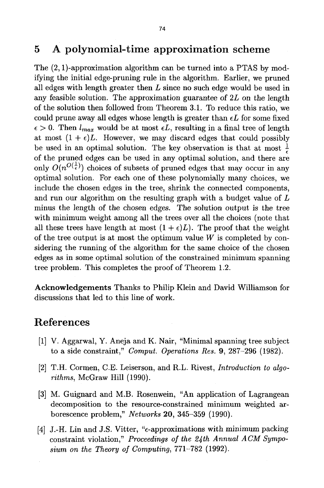## **5 A polynomial-time approximation scheme**

The (2, 1)-approximation algorithm can be turned into a PTAS by modifying the initial edge-pruning rule in the algorithm. Earlier, we pruned all edges with length greater then  $L$  since no such edge would be used in any feasible solution. The approximation guarantee of  $2L$  on the length of the solution then followed from Theorem 3.1. To reduce this ratio, we could prune away all edges whose length is greater than  $\epsilon L$  for some fixed  $\epsilon > 0$ . Then  $l_{max}$  would be at most  $\epsilon L$ , resulting in a final tree of length at most  $(1 + \epsilon)L$ . However, we may discard edges that could possibly be used in an optimal solution. The key observation is that at most  $\frac{1}{6}$ of the pruned edges can be used in any optimal solution, and there are only  $O(n^{O(\frac{1}{\epsilon})})$  choices of subsets of pruned edges that may occur in any optimal solution. For each one of these polynomially many choices, we include the chosen edges in the tree, shrink the connected components, and run our algorithm on the resulting graph with a budget value of L minus the length of the chosen edges. The solution output is the tree with minimum weight among all the trees over all the choices (note that all these trees have length at most  $(1 + \epsilon)L$ ). The proof that the weight of the tree output is at most the optimum value  $W$  is completed by considering the running of the algorithm for the same choice of the chosen edges as in some optimal solution of the constrained minimum spanning tree problem. This completes the proof of Theorem 1.2.

Acknowledgements Thanks to Philip Klein and David Williamson for discussions that led to this line of work.

## **References**

- [1] V. Aggarwal, Y. Aneja and K. Nair, "Minimal spanning tree subject to a side constraint," *Comput. Operations Res.* 9, 287-296 (1982).
- **[2]**  T.H. Cormen, C.E. Leiserson, and R.L. Rivest, *Introduction to algorithms,* McGraw Hill (1990).
- **[3]**  M. Guignard and M.B. Rosenwein, "An application of Lagrangean decomposition to the resource-constrained minimum weighted arborescence problem," *Networks* 20, 345-359 (1990).
- [4] J.-H. Lin and J.S. Vitter, "e-approximations with minimum packing constraint violation," Proceedings of the 24th Annual ACM Sympo*sium on the Theory of Computing,* 771-782 (1992).